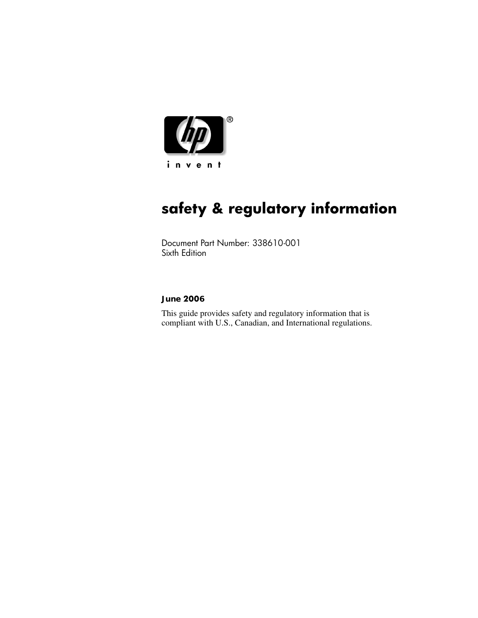

# **safety & regulatory information**

Document Part Number: 338610-001 Sixth Edition

#### **June 2006**

This guide provides safety and regulatory information that is compliant with U.S., Canadian, and International regulations.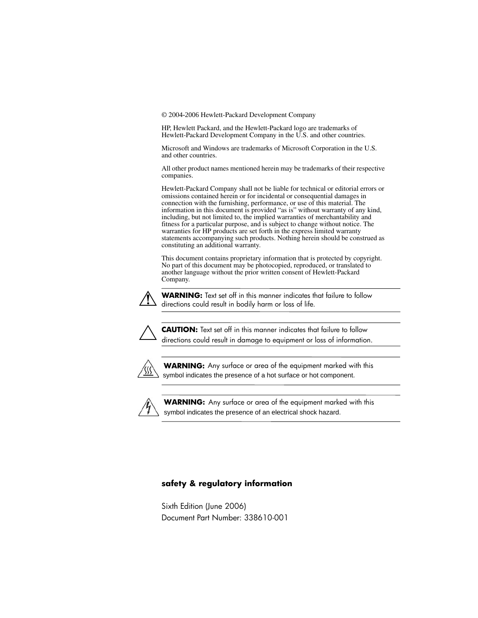© 2004-2006 Hewlett-Packard Development Company

HP, Hewlett Packard, and the Hewlett-Packard logo are trademarks of Hewlett-Packard Development Company in the U.S. and other countries.

Microsoft and Windows are trademarks of Microsoft Corporation in the U.S. and other countries.

All other product names mentioned herein may be trademarks of their respective companies.

Hewlett-Packard Company shall not be liable for technical or editorial errors or omissions contained herein or for incidental or consequential damages in connection with the furnishing, performance, or use of this material. The information in this document is provided "as is" without warranty of any kind, including, but not limited to, the implied warranties of merchantability and fitness for a particular purpose, and is subject to change without notice. The warranties for HP products are set forth in the express limited warranty statements accompanying such products. Nothing herein should be construed as constituting an additional warranty.

This document contains proprietary information that is protected by copyright. No part of this document may be photocopied, reproduced, or translated to another language without the prior written consent of Hewlett-Packard Company.



**WARNING:** Text set off in this manner indicates that failure to follow directions could result in bodily harm or loss of life.



**CAUTION:** Text set off in this manner indicates that failure to follow directions could result in damage to equipment or loss of information.



symbol indicates the presence of a hot surface or hot component. **WARNING:** Any surface or area of the equipment marked with this



symbol indicates the presence of an electrical shock hazard. **WARNING:** Any surface or area of the equipment marked with this

#### **safety & regulatory information**

Sixth Edition (June 2006) Document Part Number: 338610-001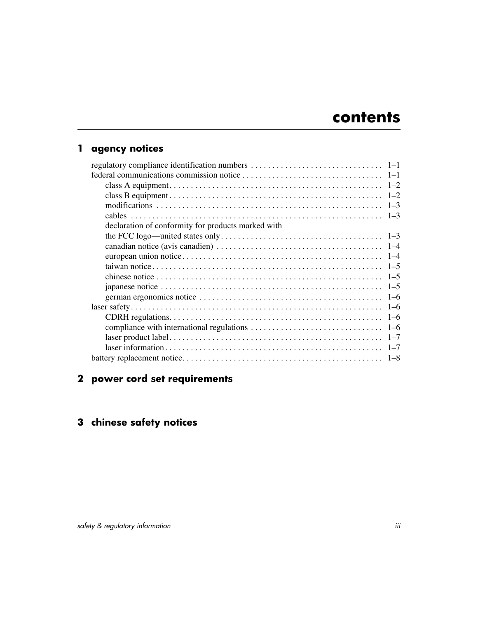## **[1](#page-4-0) [agency notices](#page-4-1)**

| declaration of conformity for products marked with |  |
|----------------------------------------------------|--|
|                                                    |  |
|                                                    |  |
|                                                    |  |
|                                                    |  |
|                                                    |  |
|                                                    |  |
|                                                    |  |
|                                                    |  |
|                                                    |  |
|                                                    |  |
|                                                    |  |
|                                                    |  |
|                                                    |  |

## **[2](#page-12-0) [power cord set requirements](#page-12-1)**

## **[3](#page-14-0) [chinese safety notices](#page-14-1)**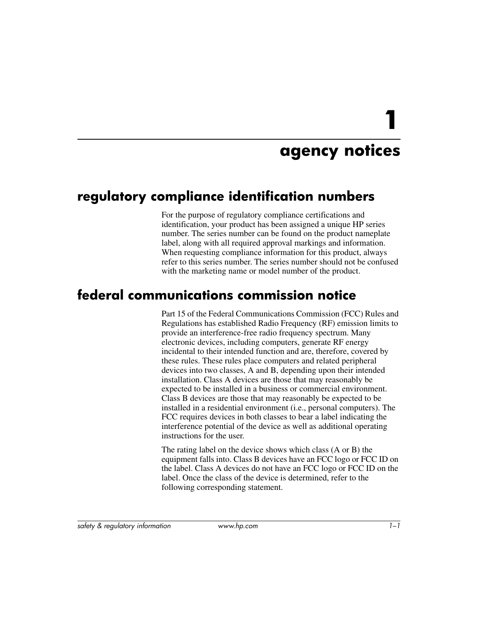# **agency notices**

# <span id="page-4-2"></span><span id="page-4-1"></span><span id="page-4-0"></span>**regulatory compliance identification numbers**

For the purpose of regulatory compliance certifications and identification, your product has been assigned a unique HP series number. The series number can be found on the product nameplate label, along with all required approval markings and information. When requesting compliance information for this product, always refer to this series number. The series number should not be confused with the marketing name or model number of the product.

# <span id="page-4-3"></span>**federal communications commission notice**

Part 15 of the Federal Communications Commission (FCC) Rules and Regulations has established Radio Frequency (RF) emission limits to provide an interference-free radio frequency spectrum. Many electronic devices, including computers, generate RF energy incidental to their intended function and are, therefore, covered by these rules. These rules place computers and related peripheral devices into two classes, A and B, depending upon their intended installation. Class A devices are those that may reasonably be expected to be installed in a business or commercial environment. Class B devices are those that may reasonably be expected to be installed in a residential environment (i.e., personal computers). The FCC requires devices in both classes to bear a label indicating the interference potential of the device as well as additional operating instructions for the user.

The rating label on the device shows which class (A or B) the equipment falls into. Class B devices have an FCC logo or FCC ID on the label. Class A devices do not have an FCC logo or FCC ID on the label. Once the class of the device is determined, refer to the following corresponding statement.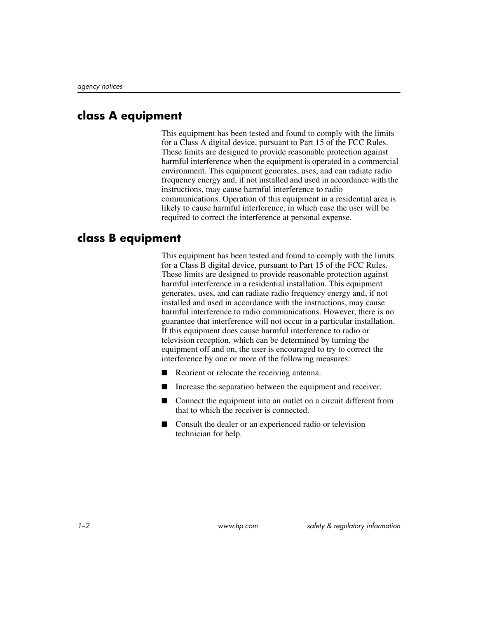#### <span id="page-5-0"></span>**class A equipment**

This equipment has been tested and found to comply with the limits for a Class A digital device, pursuant to Part 15 of the FCC Rules. These limits are designed to provide reasonable protection against harmful interference when the equipment is operated in a commercial environment. This equipment generates, uses, and can radiate radio frequency energy and, if not installed and used in accordance with the instructions, may cause harmful interference to radio communications. Operation of this equipment in a residential area is likely to cause harmful interference, in which case the user will be required to correct the interference at personal expense.

#### <span id="page-5-1"></span>**class B equipment**

This equipment has been tested and found to comply with the limits for a Class B digital device, pursuant to Part 15 of the FCC Rules. These limits are designed to provide reasonable protection against harmful interference in a residential installation. This equipment generates, uses, and can radiate radio frequency energy and, if not installed and used in accordance with the instructions, may cause harmful interference to radio communications. However, there is no guarantee that interference will not occur in a particular installation. If this equipment does cause harmful interference to radio or television reception, which can be determined by turning the equipment off and on, the user is encouraged to try to correct the interference by one or more of the following measures:

- Reorient or relocate the receiving antenna.
- Increase the separation between the equipment and receiver.
- Connect the equipment into an outlet on a circuit different from that to which the receiver is connected.
- Consult the dealer or an experienced radio or television technician for help.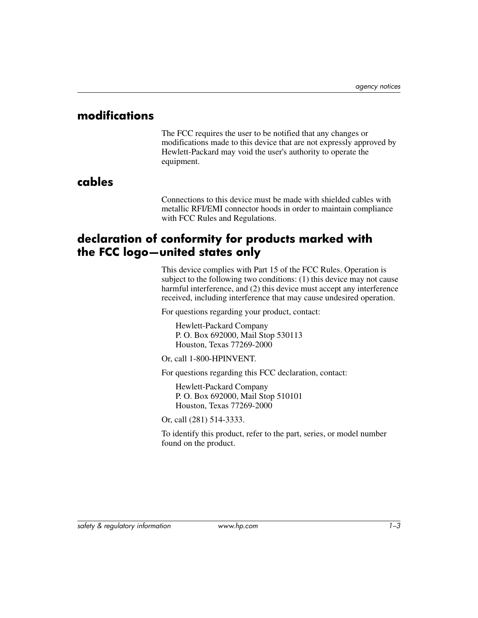#### <span id="page-6-0"></span>**modifications**

The FCC requires the user to be notified that any changes or modifications made to this device that are not expressly approved by Hewlett-Packard may void the user's authority to operate the equipment.

## <span id="page-6-1"></span>**cables**

Connections to this device must be made with shielded cables with metallic RFI/EMI connector hoods in order to maintain compliance with FCC Rules and Regulations.

## <span id="page-6-2"></span>**declaration of conformity for products marked with the FCC logo—united states only**

This device complies with Part 15 of the FCC Rules. Operation is subject to the following two conditions: (1) this device may not cause harmful interference, and (2) this device must accept any interference received, including interference that may cause undesired operation.

For questions regarding your product, contact:

Hewlett-Packard Company P. O. Box 692000, Mail Stop 530113 Houston, Texas 77269-2000

Or, call 1-800-HPINVENT.

For questions regarding this FCC declaration, contact:

Hewlett-Packard Company P. O. Box 692000, Mail Stop 510101 Houston, Texas 77269-2000

Or, call (281) 514-3333.

To identify this product, refer to the part, series, or model number found on the product.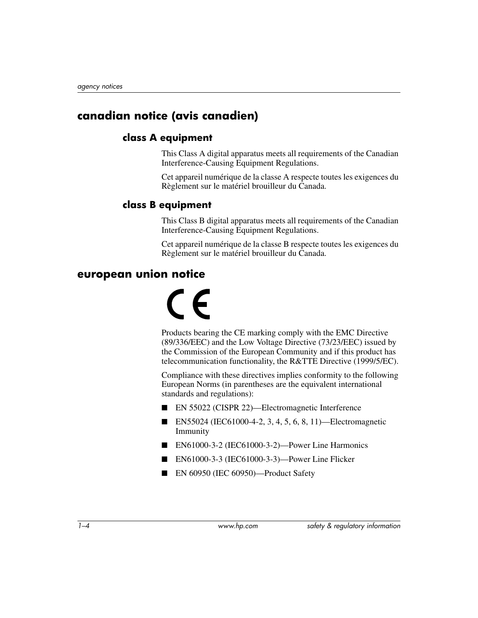## <span id="page-7-0"></span>**canadian notice (avis canadien)**

#### **class A equipment**

This Class A digital apparatus meets all requirements of the Canadian Interference-Causing Equipment Regulations.

Cet appareil numérique de la classe A respecte toutes les exigences du Règlement sur le matériel brouilleur du Canada.

#### **class B equipment**

This Class B digital apparatus meets all requirements of the Canadian Interference-Causing Equipment Regulations.

Cet appareil numérique de la classe B respecte toutes les exigences du Règlement sur le matériel brouilleur du Canada.

#### <span id="page-7-1"></span>**european union notice**

# $\epsilon$

Products bearing the CE marking comply with the EMC Directive (89/336/EEC) and the Low Voltage Directive (73/23/EEC) issued by the Commission of the European Community and if this product has telecommunication functionality, the R&TTE Directive (1999/5/EC).

Compliance with these directives implies conformity to the following European Norms (in parentheses are the equivalent international standards and regulations):

- EN 55022 (CISPR 22)—Electromagnetic Interference
- EN55024 (IEC61000-4-2, 3, 4, 5, 6, 8, 11)—Electromagnetic Immunity
- EN61000-3-2 (IEC61000-3-2)—Power Line Harmonics
- EN61000-3-3 (IEC61000-3-3)—Power Line Flicker
- EN 60950 (IEC 60950)—Product Safety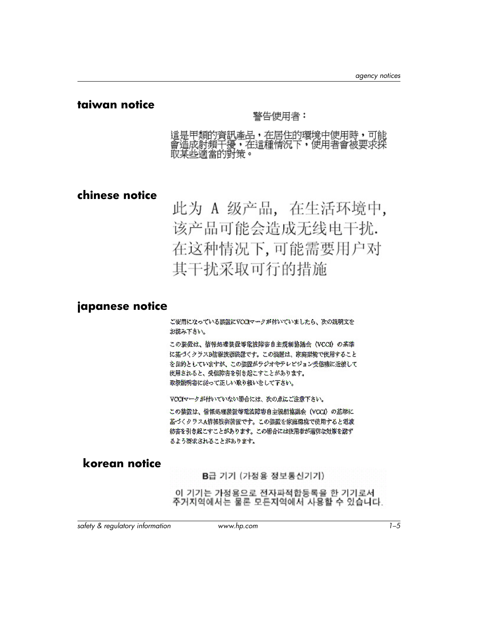#### <span id="page-8-0"></span>**taiwan notice**

#### 警告使用者:

這是甲類的資訊牽品,在居住的環境中使用時,可能 會造成射頻干擾,在這種情況下,使用者會被要求採 取某些滴當的對策。

#### <span id="page-8-1"></span>**chinese notice**

此为 A 级产品, 在生活环境中, 该产品可能会造成无线电干扰. 在这种情况下,可能需要用户对 其干扰采取可行的措施

#### <span id="page-8-2"></span>**japanese notice**

ご使用になっている装置にVCCIマークが付いていましたら、次の説明文を お読み下さい。

この装置は、皆報処理装置等電波障害自主提制協議会 (VCCf) の基準 に基づくクラスB情報技術装置です。この装置は、家庭認識で使用すること を目的としていますが、この装置がラジオやテレビジョン受信機に近接して 使用されると、受信障害を引き起こすことがあります。 取扱説明書に従って底しい取り扱いをして下さい。

VCCIマークが付いていない場合には、次の点にご注意下さい。

この装置は、情報処理装置等電波障害自主規制協議会(VCCI)の基準に 基づくクラスA構報技術装置です。この装置を家庭環境で使用すると電波 妨害を引き起こすことがあります。この場合には使用者が適切な対策を診ず るよう褒求されることがあります。

#### **korean notice**

B급 기기 (가정용 정보통신기기)

이 기기는 가정용으로 전자파적합등록을 한 기기로서 주거지역에서는 물론 모든지역에서 사용할 수 있습니다.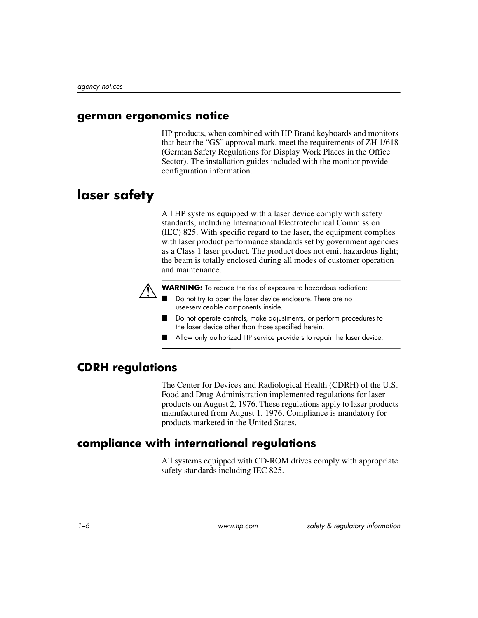#### <span id="page-9-0"></span>**german ergonomics notice**

HP products, when combined with HP Brand keyboards and monitors that bear the "GS" approval mark, meet the requirements of ZH 1/618 (German Safety Regulations for Display Work Places in the Office Sector). The installation guides included with the monitor provide configuration information.

# <span id="page-9-1"></span>**laser safety**

All HP systems equipped with a laser device comply with safety standards, including International Electrotechnical Commission (IEC) 825. With specific regard to the laser, the equipment complies with laser product performance standards set by government agencies as a Class 1 laser product. The product does not emit hazardous light; the beam is totally enclosed during all modes of customer operation and maintenance.



WARNING: To reduce the risk of exposure to hazardous radiation:

- Do not try to open the laser device enclosure. There are no user-serviceable components inside.
- Do not operate controls, make adjustments, or perform procedures to the laser device other than those specified herein.
- Allow only authorized HP service providers to repair the laser device.

#### <span id="page-9-2"></span>**CDRH regulations**

The Center for Devices and Radiological Health (CDRH) of the U.S. Food and Drug Administration implemented regulations for laser products on August 2, 1976. These regulations apply to laser products manufactured from August 1, 1976. Compliance is mandatory for products marketed in the United States.

### <span id="page-9-3"></span>**compliance with international regulations**

All systems equipped with CD-ROM drives comply with appropriate safety standards including IEC 825.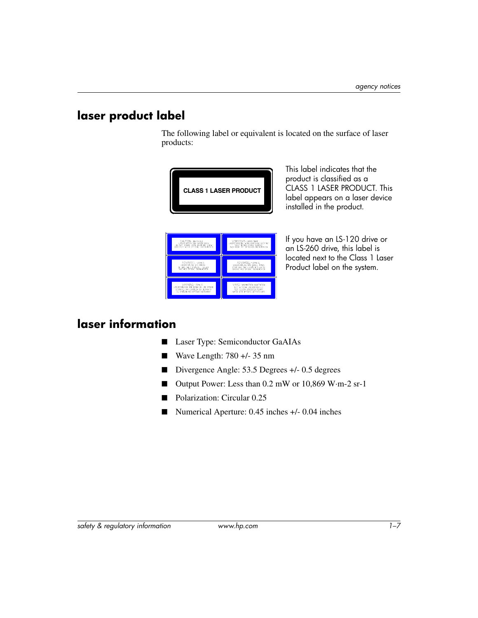## <span id="page-10-0"></span>**laser product label**

The following label or equivalent is located on the surface of laser products:



This label indicates that the product is classified as a CLASS 1 LASER PRODUCT. This label appears on a laser device installed in the product.

VERSICHT – UKSICHTBARE<br>LASERSTRAHLUNG, VENI ABDECKUNG GEÖ<br>AUCH NICHT NIT EPTISCHEN, BLICKEN<br>AUCH NICHT NIT EPTISCHEN, INSTRUMEN CAUTION-INVISIBLE<br>LASER RADIATION VEN OPEN<br>DO NOT STARE INTO BEAM OR VEN<br>DIRECTLY VITH OPTICAL INSTRIANT AUVARSEL-USTALIG<br>LASERSTRÅLING WAR DEKSEL ÅPNES<br>STIRR ING THAL I STRÅLEN ELLER<br>NIKERT WER DETTSEE INSTRUMENTE y Arning – Usynus<br>Laserstaving här tenna del är Uppnä<br>Stirra ej in i Strälen den ketracta<br>Ej strälen ikd dptiska instrument. VARIJ! NÄKYMÄTÖHTÄ AVATTAESS<br>DLET ALTTIINA LASERSÄTEILYLLE<br>ALÄ TULIOTA SÄTEESEEN ÄLÄKÄ<br>KATSU SUTÄ DRIISEN LAITTEEN LÄR

If you have an LS-120 drive or an LS-260 drive, this label is located next to the Class 1 Laser Product label on the system.

## <span id="page-10-1"></span>**laser information**

- Laser Type: Semiconductor GaAIAs
- Wave Length: 780 +/- 35 nm
- Divergence Angle: 53.5 Degrees +/- 0.5 degrees
- Output Power: Less than 0.2 mW or 10,869 W·m-2 sr-1
- Polarization: Circular 0.25
- Numerical Aperture: 0.45 inches +/- 0.04 inches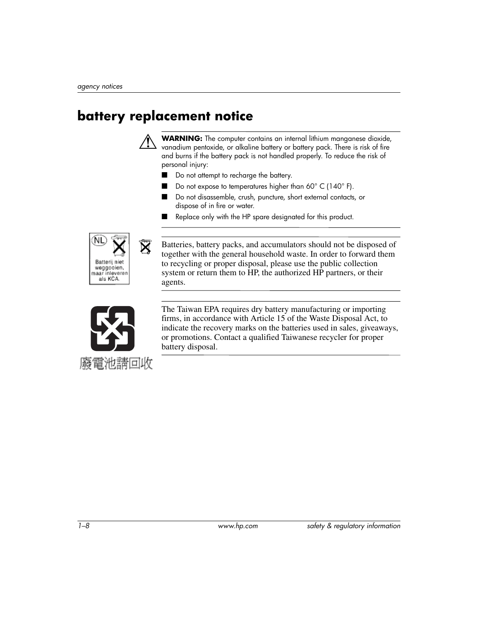# <span id="page-11-0"></span>**battery replacement notice**



Å **WARNING:** The computer contains an internal lithium manganese dioxide, vanadium pentoxide, or alkaline battery or battery pack. There is risk of fire and burns if the battery pack is not handled properly. To reduce the risk of personal injury:

- Do not attempt to recharge the battery.
- Do not expose to temperatures higher than  $60^{\circ}$  C (140 $^{\circ}$  F).
- Do not disassemble, crush, puncture, short external contacts, or dispose of in fire or water.
- Replace only with the HP spare designated for this product.



Batteries, battery packs, and accumulators should not be disposed of together with the general household waste. In order to forward them to recycling or proper disposal, please use the public collection system or return them to HP, the authorized HP partners, or their agents.



The Taiwan EPA requires dry battery manufacturing or importing firms, in accordance with Article 15 of the Waste Disposal Act, to indicate the recovery marks on the batteries used in sales, giveaways, or promotions. Contact a qualified Taiwanese recycler for proper battery disposal.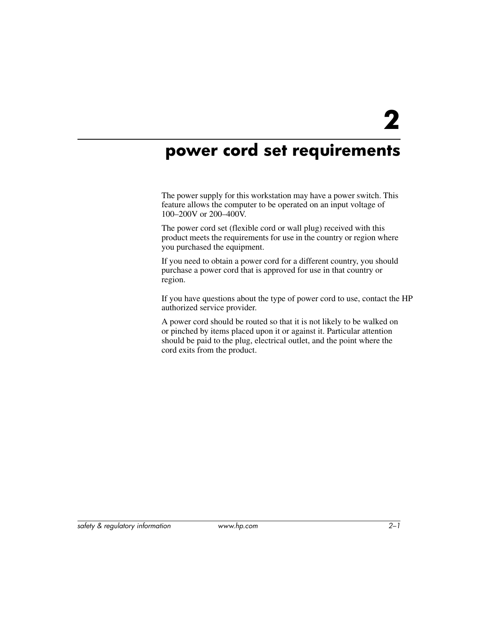# <span id="page-12-1"></span><span id="page-12-0"></span>**power cord set requirements**

The power supply for this workstation may have a power switch. This feature allows the computer to be operated on an input voltage of 100–200V or 200–400V.

The power cord set (flexible cord or wall plug) received with this product meets the requirements for use in the country or region where you purchased the equipment.

If you need to obtain a power cord for a different country, you should purchase a power cord that is approved for use in that country or region.

If you have questions about the type of power cord to use, contact the HP authorized service provider.

A power cord should be routed so that it is not likely to be walked on or pinched by items placed upon it or against it. Particular attention should be paid to the plug, electrical outlet, and the point where the cord exits from the product.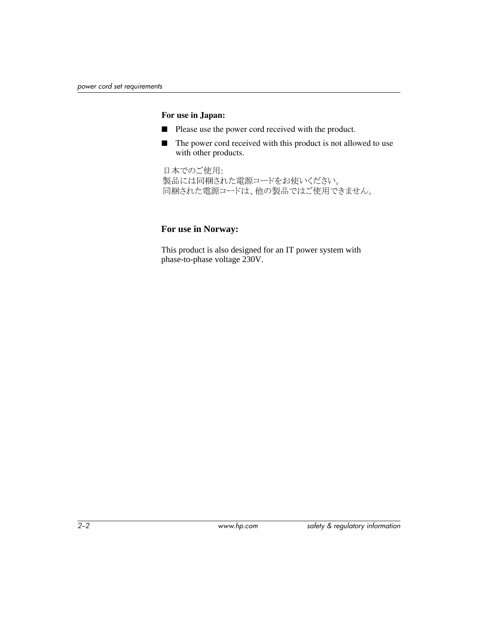#### **For use in Japan:**

- Please use the power cord received with the product.
- The power cord received with this product is not allowed to use with other products.

日本でのご使用: 製品には同梱された電源コードをお使いください。 同梱された電源コードは、他の製品ではご使用できません。

#### **For use in Norway:**

 This product is also designed for an IT power system with phase-to-phase voltage 230V.